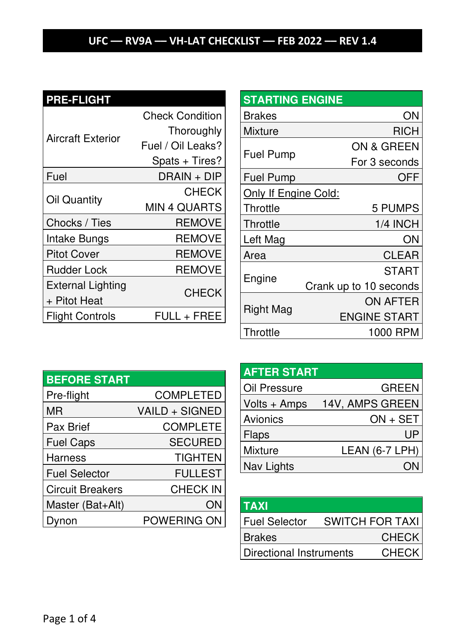# **PRE-FLIGHT**

| Aircraft Exterior                        | <b>Check Condition</b><br>Thoroughly<br>Fuel / Oil Leaks?<br>Spats + Tires? |
|------------------------------------------|-----------------------------------------------------------------------------|
| Fuel                                     | DRAIN + DIP                                                                 |
| Oil Quantity                             | <b>CHECK</b><br>MIN 4 QUARTS                                                |
| Chocks / Ties                            | <b>REMOVE</b>                                                               |
| Intake Bungs                             | <b>REMOVE</b>                                                               |
| <b>Pitot Cover</b>                       | <b>REMOVE</b>                                                               |
| <b>Rudder Lock</b>                       | <b>REMOVE</b>                                                               |
| <b>External Lighting</b><br>+ Pitot Heat | <b>CHECK</b>                                                                |
| <b>Flight Controls</b>                   | FULL + FREE                                                                 |

| <b>STARTING ENGINE</b> |                        |      |
|------------------------|------------------------|------|
| <b>Brakes</b>          |                        | ON   |
| Mixture                |                        | RICH |
|                        | ON & GREEN             |      |
| <b>Fuel Pump</b>       | For 3 seconds          |      |
| <b>Fuel Pump</b>       |                        | OFF  |
| Only If Engine Cold:   |                        |      |
| Throttle               | <b>5 PUMPS</b>         |      |
| Throttle               | 1/4 INCH               |      |
| Left Mag               |                        | ΟN   |
| Area                   | CLEAR                  |      |
|                        | START                  |      |
| Engine                 | Crank up to 10 seconds |      |
| Right Mag              | <b>ON AFTER</b>        |      |
|                        | <b>ENGINE START</b>    |      |
| Throttle               | 1000 RPM               |      |

| <b>BEFORE START</b>     |                  |
|-------------------------|------------------|
| Pre-flight              | <b>COMPLETED</b> |
| ΜR                      | VAILD + SIGNED   |
| Pax Brief               | <b>COMPLETE</b>  |
| <b>Fuel Caps</b>        | <b>SECURED</b>   |
| Harness                 | <b>TIGHTEN</b>   |
| <b>Fuel Selector</b>    | <b>FULLEST</b>   |
| <b>Circuit Breakers</b> | <b>CHECK IN</b>  |
| Master (Bat+Alt)        | ΟN               |
| non                     | POWERING ON      |

#### **AFTER START**

| Oil Pressure | <b>GREEN</b>    |
|--------------|-----------------|
| Volts + Amps | 14V, AMPS GREEN |
| Avionics     | $ON + SET$      |
| Flaps        | UP              |
| Mixture      | LEAN (6-7 LPH)  |
| Nav Lights   |                 |

| TAXI                    |                        |
|-------------------------|------------------------|
| <b>Fuel Selector</b>    | <b>SWITCH FOR TAXI</b> |
| <b>Brakes</b>           | <b>CHECK</b>           |
| Directional Instruments | <b>CHECK</b>           |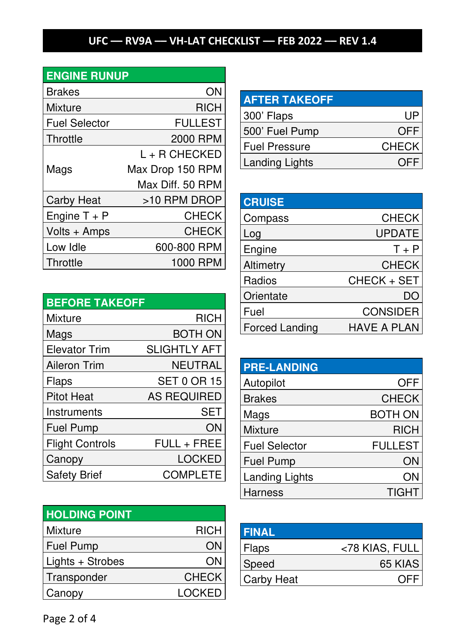## **ENGINE RUNUP**

| <b>Brakes</b>        | ON)              |
|----------------------|------------------|
| Mixture              | RICH             |
| <b>Fuel Selector</b> | FULLEST          |
| Throttle             | 2000 RPM         |
|                      | L + R CHECKED    |
| Mags                 | Max Drop 150 RPM |
|                      | Max Diff. 50 RPM |
| <b>Carby Heat</b>    | >10 RPM DROP     |
| Engine $T + P$       | <b>CHECK</b>     |
| Volts + Amps         | <b>CHECK</b>     |
| Low Idle             | 600-800 RPM      |
| Throttle             | 1000 RPM         |

| <b>BEFORE TAKEOFF</b>  |                     |
|------------------------|---------------------|
| Mixture                | <b>RICH</b>         |
| Mags                   | BOTH ON             |
| <b>Elevator Trim</b>   | <b>SLIGHTLY AFT</b> |
| <b>Aileron Trim</b>    | <b>NEUTRAL</b>      |
| Flaps                  | <b>SET 0 OR 15</b>  |
| <b>Pitot Heat</b>      | <b>AS REQUIRED</b>  |
| Instruments            | <b>SET</b>          |
| <b>Fuel Pump</b>       | ON                  |
| <b>Flight Controls</b> | FULL + FREE         |
| Canopy                 | <b>LOCKED</b>       |
| <b>Safety Brief</b>    | <b>COMPLETE</b>     |

| <b>HOLDING POINT</b> |               |
|----------------------|---------------|
| Mixture              | <b>RICH</b>   |
| <b>Fuel Pump</b>     | O٨            |
| Lights + Strobes     | O٨            |
| Transponder          | <b>CHECK</b>  |
| Canopy               | <b>LOCKED</b> |

| <b>AFTER TAKEOFF</b>  |              |
|-----------------------|--------------|
| 300' Flaps            | ШF           |
| 500' Fuel Pump        | OFF          |
| Fuel Pressure         | <b>CHECK</b> |
| <b>Landing Lights</b> |              |

| <b>CRUISE</b>         |                 |
|-----------------------|-----------------|
| Compass               | <b>CHECK</b>    |
| _og                   | <b>UPDATE</b>   |
| Engine                | $T + P$         |
| Altimetry             | <b>CHECK</b>    |
| Radios                | CHECK + SET     |
| Orientate             | DC.             |
| Fuel                  | <b>CONSIDER</b> |
| <b>Forced Landing</b> | HAVE A PLAN     |

| <b>PRE-LANDING</b>    |                |
|-----------------------|----------------|
| Autopilot             | <b>OFF</b>     |
| <b>Brakes</b>         | <b>CHECK</b>   |
| Mags                  | <b>BOTH ON</b> |
| <b>Mixture</b>        | <b>RICH</b>    |
| <b>Fuel Selector</b>  | <b>FULLEST</b> |
| <b>Fuel Pump</b>      | ON             |
| <b>Landing Lights</b> | ΟN             |
| Harness               | TIGHT          |

| <b>FINAL</b>      |                |
|-------------------|----------------|
| Flaps             | <78 KIAS, FULL |
| Speed             | 65 KIAS        |
| <b>Carby Heat</b> | OFF            |

Page 2 of 4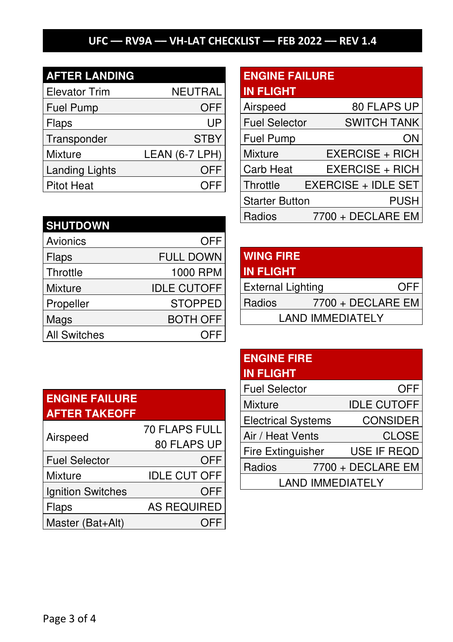| <b>AFTER LANDING</b>  |                |
|-----------------------|----------------|
| <b>Elevator Trim</b>  | <b>NEUTRAL</b> |
| <b>Fuel Pump</b>      | OFF            |
| Flaps                 | UP             |
| Transponder           | <b>STBY</b>    |
| Mixture               | LEAN (6-7 LPH) |
| <b>Landing Lights</b> | OFF            |
| Pitot Heat            |                |

# **ENGINE FAILURE**

| <b>IN FLIGHT</b>      |                            |
|-----------------------|----------------------------|
| Airspeed              | 80 FLAPS UP                |
| <b>Fuel Selector</b>  | <b>SWITCH TANK</b>         |
| Fuel Pump             | ΟN                         |
| Mixture               | <b>EXERCISE + RICH</b>     |
| Carb Heat             | <b>EXERCISE + RICH</b>     |
| Throttle              | <b>EXERCISE + IDLE SET</b> |
| <b>Starter Button</b> | PUSH                       |
| Radios                | 7700 + DECLARE EM          |

| <b>SHUTDOWN</b>     |                    |
|---------------------|--------------------|
| Avionics            | <b>OFF</b>         |
| Flaps               | <b>FULL DOWN</b>   |
| Throttle            | 1000 RPM           |
| <b>Mixture</b>      | <b>IDLE CUTOFF</b> |
| Propeller           | <b>STOPPED</b>     |
| Mags                | <b>BOTH OFF</b>    |
| <b>All Switches</b> |                    |

#### **WING FIRE IN FLIGHT**

| 80 LCC                  |                   |     |
|-------------------------|-------------------|-----|
| External Lighting       |                   | OFF |
| l Radios                | 7700 + DECLARE EM |     |
| <b>LAND IMMEDIATELY</b> |                   |     |

#### **ENGINE FIRE IN FLIGHT**

| <b>Fuel Selector</b>      | <b>OFF</b>         |
|---------------------------|--------------------|
| Mixture                   | <b>IDLE CUTOFF</b> |
| <b>Electrical Systems</b> | <b>CONSIDER</b>    |
| Air / Heat Vents          | <b>CLOSE</b>       |
| <b>Fire Extinguisher</b>  | USE IF REQD        |
| Radios                    | 7700 + DECLARE EM  |
| <b>LAND IMMEDIATELY</b>   |                    |

#### **ENGINE FAILURE AFTER TAKEOFF**

| Airspeed             | <b>70 FLAPS FULL</b> |
|----------------------|----------------------|
|                      | 80 FLAPS UP          |
| <b>Fuel Selector</b> | OFF                  |
| Mixture              | <b>IDLE CUT OFF</b>  |
| Ignition Switches    | OFF                  |
| Flaps                | <b>AS REQUIRED</b>   |
| Master (Bat+Alt)     |                      |